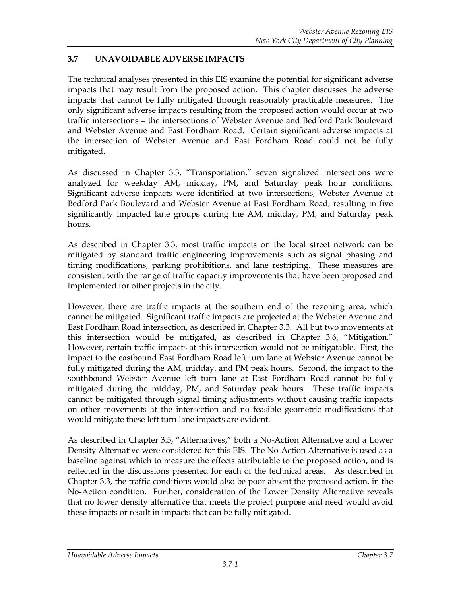## **3.7 UNAVOIDABLE ADVERSE IMPACTS**

The technical analyses presented in this EIS examine the potential for significant adverse impacts that may result from the proposed action. This chapter discusses the adverse impacts that cannot be fully mitigated through reasonably practicable measures. The only significant adverse impacts resulting from the proposed action would occur at two traffic intersections – the intersections of Webster Avenue and Bedford Park Boulevard and Webster Avenue and East Fordham Road. Certain significant adverse impacts at the intersection of Webster Avenue and East Fordham Road could not be fully mitigated.

As discussed in Chapter 3.3, "Transportation," seven signalized intersections were analyzed for weekday AM, midday, PM, and Saturday peak hour conditions. Significant adverse impacts were identified at two intersections, Webster Avenue at Bedford Park Boulevard and Webster Avenue at East Fordham Road, resulting in five significantly impacted lane groups during the AM, midday, PM, and Saturday peak hours.

As described in Chapter 3.3, most traffic impacts on the local street network can be mitigated by standard traffic engineering improvements such as signal phasing and timing modifications, parking prohibitions, and lane restriping. These measures are consistent with the range of traffic capacity improvements that have been proposed and implemented for other projects in the city.

However, there are traffic impacts at the southern end of the rezoning area, which cannot be mitigated. Significant traffic impacts are projected at the Webster Avenue and East Fordham Road intersection, as described in Chapter 3.3. All but two movements at this intersection would be mitigated, as described in Chapter 3.6, "Mitigation." However, certain traffic impacts at this intersection would not be mitigatable. First, the impact to the eastbound East Fordham Road left turn lane at Webster Avenue cannot be fully mitigated during the AM, midday, and PM peak hours. Second, the impact to the southbound Webster Avenue left turn lane at East Fordham Road cannot be fully mitigated during the midday, PM, and Saturday peak hours. These traffic impacts cannot be mitigated through signal timing adjustments without causing traffic impacts on other movements at the intersection and no feasible geometric modifications that would mitigate these left turn lane impacts are evident.

As described in Chapter 3.5, "Alternatives," both a No-Action Alternative and a Lower Density Alternative were considered for this EIS. The No-Action Alternative is used as a baseline against which to measure the effects attributable to the proposed action, and is reflected in the discussions presented for each of the technical areas. As described in Chapter 3.3, the traffic conditions would also be poor absent the proposed action, in the No-Action condition. Further, consideration of the Lower Density Alternative reveals that no lower density alternative that meets the project purpose and need would avoid these impacts or result in impacts that can be fully mitigated.